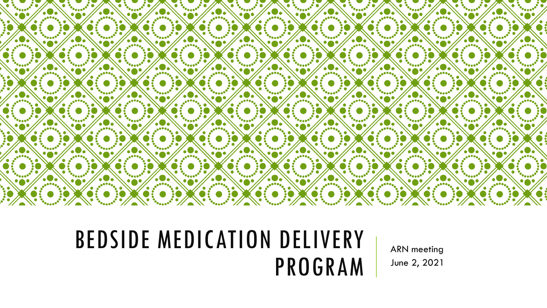

### BEDSIDE MEDICATION DELIVERY PROGRAM

ARN meeting June 2, 2021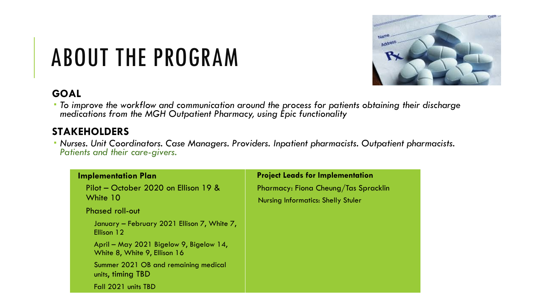

# ABOUT THE PROGRAM

#### **GOAL**

 *To improve the workflow and communication around the process for patients obtaining their discharge medications from the MGH Outpatient Pharmacy, using Epic functionality*

#### **STAKEHOLDERS**

 *Nurses. Unit Coordinators. Case Managers. Providers. Inpatient pharmacists. Outpatient pharmacists. Patients and their care-givers.*

| <b>Implementation Plan</b>                                              | <b>Project Leads for Implementation</b>   |
|-------------------------------------------------------------------------|-------------------------------------------|
| Pilot – October 2020 on Ellison 19 &                                    | Pharmacy: Fiona Cheung/Tas Spracklin      |
| White 10                                                                | <b>Nursing Informatics: Shelly Stuler</b> |
| <b>Phased roll-out</b>                                                  |                                           |
| January - February 2021 Ellison 7, White 7,<br>Ellison 12               |                                           |
| April – May 2021 Bigelow 9, Bigelow 14,<br>White 8, White 9, Ellison 16 |                                           |
| Summer 2021 OB and remaining medical<br>units, timing TBD               |                                           |
| Fall 2021 units TBD                                                     |                                           |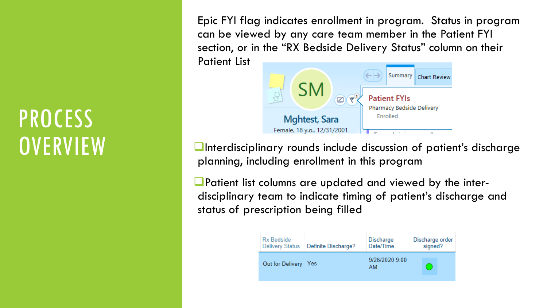### **PROCESS OVERVIEW**

Epic FYI flag indicates enrollment in program. Status in program can be viewed by any care team member in the Patient FYI section, or in the "RX Bedside Delivery Status" column on their Patient List



 $\blacksquare$ Interdisciplinary rounds include discussion of patient's discharge planning, including enrollment in this program

Patient list columns are updated and viewed by the interdisciplinary team to indicate timing of patient's discharge and status of prescription being filled

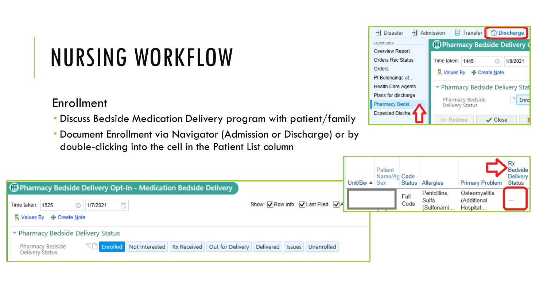# NURSING WORKFLOW

#### Enrollment

- Discuss Bedside Medication Delivery program with patient/family
- Document Enrollment via Navigator (Admission or Discharge) or by double-clicking into the cell in the Patient List column

| $\frac{1}{2}$ Admission<br>Disaster | <b>B</b> Transfer <b>the Contract B</b> |  |  |  |
|-------------------------------------|-----------------------------------------|--|--|--|
| <b>OVERVIEW</b>                     | D Pharmacy Bedside Delivery (@          |  |  |  |
| <b>Overview Report</b>              |                                         |  |  |  |
| <b>Orders Rec Status</b>            | Time taken:<br>1/8/2021<br>1445<br>œ    |  |  |  |
| Orders                              |                                         |  |  |  |
| Pt Belongings at                    |                                         |  |  |  |
| <b>Health Care Agents</b>           | Pharmacy Bedside Delivery Stat          |  |  |  |
| Plans for discharge                 | Pharmacy Bedside<br>Enrol               |  |  |  |
| <b>Pharmacy Bedsi</b>               | Delivery Status                         |  |  |  |
| Expected Discha.                    | Restore<br>Close                        |  |  |  |

Patient

| Pharmacy Bedside Delivery Opt-In - Medication Bedside Delivery                                                                                                 | Unit/Be $\left  \right $ Sex | Name/Ag Code |              | Status Allergies                    | <b>Primary Problem Status</b>            | Delivery |
|----------------------------------------------------------------------------------------------------------------------------------------------------------------|------------------------------|--------------|--------------|-------------------------------------|------------------------------------------|----------|
| Show: $\nabla$ Row Info $\nabla$ Last Filed $\nabla$ A<br>Time taken:<br>ö.<br>1525<br>1/7/2021<br>⊙<br>R Values By - Create Note                              |                              |              | Full<br>Code | Penicillins,<br>Sulfa<br>(Sulfonami | Osteomyelitis<br>(Additional<br>Hospital |          |
| ▶ Pharmacy Bedside Delivery Status                                                                                                                             |                              |              |              |                                     |                                          |          |
| $\mathbb{Z}$ Enrolled Not Interested<br>Out for Delivery Delivered<br><b>Pharmacy Bedside</b><br><b>Rx Received</b><br>Issues<br>Unenrolled<br>Delivery Status |                              |              |              |                                     |                                          |          |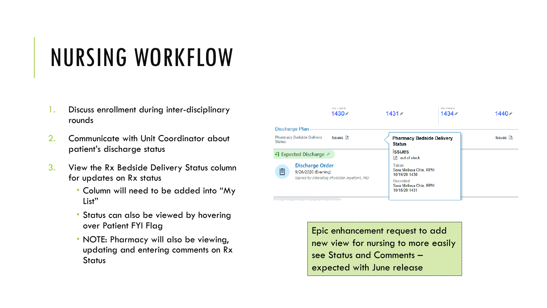## NURSING WORKFLOW

- 1. Discuss enrollment during inter-disciplinary rounds
- 2. Communicate with Unit Coordinator about patient's discharge status
- 3. View the Rx Bedside Delivery Status column for updates on Rx status
	- Column will need to be added into "My List"
	- Status can also be viewed by hovering over Patient FYI Flag
	- NOTE: Pharmacy will also be viewing, updating and entering comments on Rx **Status**



Epic enhancement request to add new view for nursing to more easily see Status and Comments – expected with June release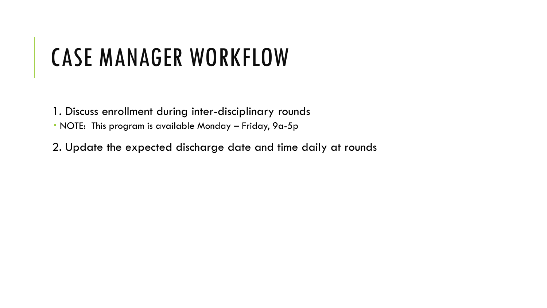### CASE MANAGER WORKFLOW

1. Discuss enrollment during inter-disciplinary rounds

NOTE: This program is available Monday – Friday, 9a-5p

2. Update the expected discharge date and time daily at rounds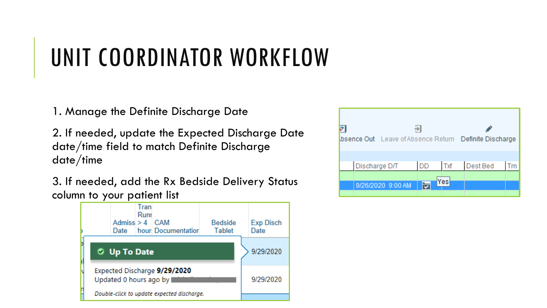# UNIT COORDINATOR WORKFLOW

1. Manage the Definite Discharge Date

2. If needed, update the Expected Discharge Date date/time field to match Definite Discharge date/time

3. If needed, add the Rx Bedside Delivery Status column to your patient list



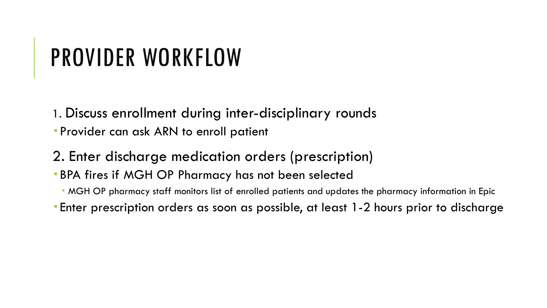## PROVIDER WORKFLOW

- 1. Discuss enrollment during inter-disciplinary rounds
- Provider can ask ARN to enroll patient
- 2. Enter discharge medication orders (prescription)
- BPA fires if MGH OP Pharmacy has not been selected
	- MGH OP pharmacy staff monitors list of enrolled patients and updates the pharmacy information in Epic
- Enter prescription orders as soon as possible, at least 1-2 hours prior to discharge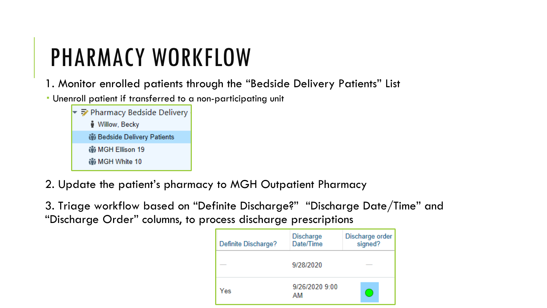## PHARMACY WORKFLOW

1. Monitor enrolled patients through the "Bedside Delivery Patients" List

Unenroll patient if transferred to a non-participating unit

| ▼ ラ Pharmacy Bedside Delivery |
|-------------------------------|
| <b>Willow, Becky</b>          |
| in Bedside Delivery Patients  |
| ij MGH Ellison 19             |
| tij MGH White 10              |

2. Update the patient's pharmacy to MGH Outpatient Pharmacy

3. Triage workflow based on "Definite Discharge?" "Discharge Date/Time" and "Discharge Order" columns, to process discharge prescriptions

| Definite Discharge? | <b>Discharge</b><br>Date/Time | Discharge order<br>signed? |
|---------------------|-------------------------------|----------------------------|
|                     | 9/28/2020                     |                            |
| Yes                 | 9/26/2020 9:00<br>AM          |                            |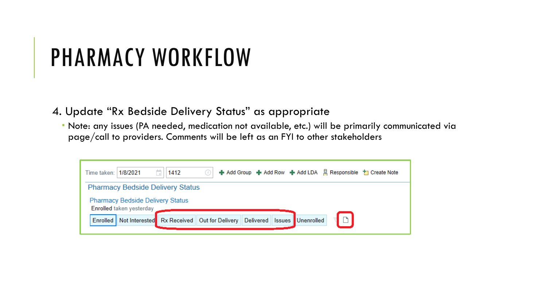## PHARMACY WORKFLOW

4. Update "Rx Bedside Delivery Status" as appropriate

 Note: any issues (PA needed, medication not available, etc.) will be primarily communicated via page/call to providers. Comments will be left as an FYI to other stakeholders

| <b>Pharmacy Bedside Delivery Status</b><br><b>Pharmacy Bedside Delivery Status</b><br><b>Enrolled taken yesterday</b> | 1412<br>1/8/2021<br>Time taken: |                  | ← Add Group ← Add Row ← Add LDA & Responsible † Create Note |  |
|-----------------------------------------------------------------------------------------------------------------------|---------------------------------|------------------|-------------------------------------------------------------|--|
|                                                                                                                       |                                 |                  |                                                             |  |
|                                                                                                                       |                                 |                  |                                                             |  |
| Not Interested Rx Received Out for Delivery                                                                           | Enrolled                        | <b>Delivered</b> | $\Box$<br>Unenrolled<br><b>Issues</b>                       |  |